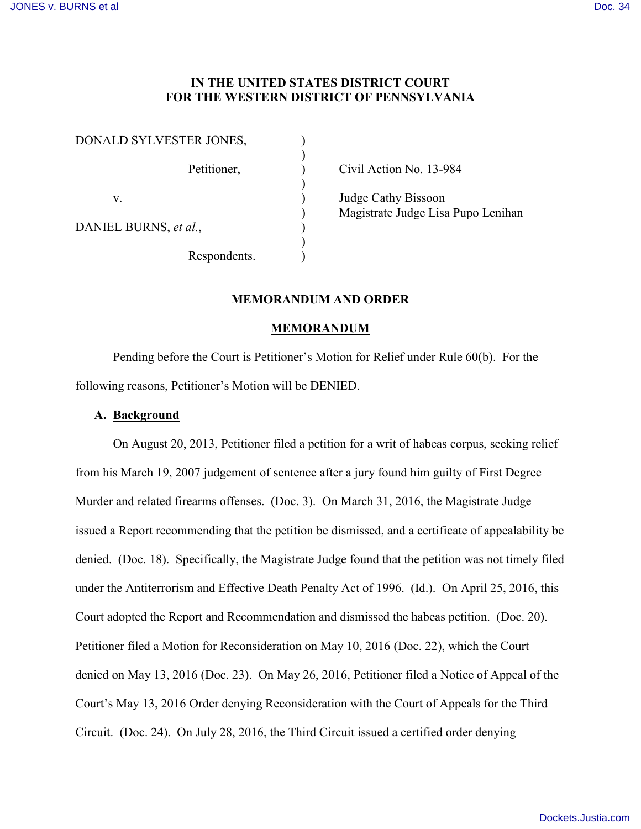## **IN THE UNITED STATES DISTRICT COURT FOR THE WESTERN DISTRICT OF PENNSYLVANIA**

| DONALD SYLVESTER JONES, |              |  |
|-------------------------|--------------|--|
|                         | Petitioner,  |  |
| V                       |              |  |
| DANIEL BURNS, et al.,   |              |  |
|                         | Respondents. |  |

Civil Action No. 13-984

Judge Cathy Bissoon ) Magistrate Judge Lisa Pupo Lenihan

# **MEMORANDUM AND ORDER**

#### **MEMORANDUM**

Pending before the Court is Petitioner's Motion for Relief under Rule 60(b). For the following reasons, Petitioner's Motion will be DENIED.

#### **A. Background**

On August 20, 2013, Petitioner filed a petition for a writ of habeas corpus, seeking relief from his March 19, 2007 judgement of sentence after a jury found him guilty of First Degree Murder and related firearms offenses. (Doc. 3). On March 31, 2016, the Magistrate Judge issued a Report recommending that the petition be dismissed, and a certificate of appealability be denied. (Doc. 18). Specifically, the Magistrate Judge found that the petition was not timely filed under the Antiterrorism and Effective Death Penalty Act of 1996. (Id.). On April 25, 2016, this Court adopted the Report and Recommendation and dismissed the habeas petition. (Doc. 20). Petitioner filed a Motion for Reconsideration on May 10, 2016 (Doc. 22), which the Court denied on May 13, 2016 (Doc. 23). On May 26, 2016, Petitioner filed a Notice of Appeal of the Court's May 13, 2016 Order denying Reconsideration with the Court of Appeals for the Third Circuit. (Doc. 24). On July 28, 2016, the Third Circuit issued a certified order denying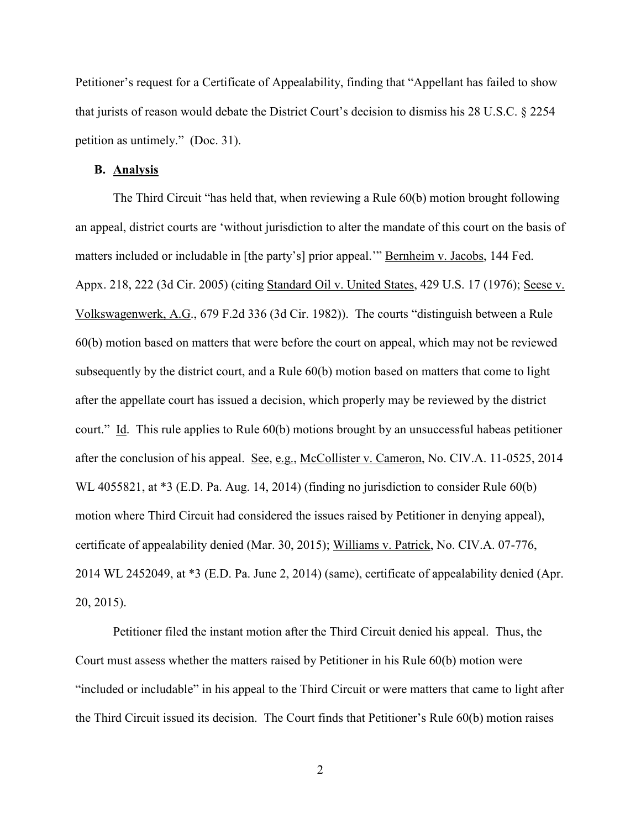Petitioner's request for a Certificate of Appealability, finding that "Appellant has failed to show that jurists of reason would debate the District Court's decision to dismiss his 28 U.S.C. § 2254 petition as untimely." (Doc. 31).

### **B. Analysis**

The Third Circuit "has held that, when reviewing a Rule 60(b) motion brought following an appeal, district courts are 'without jurisdiction to alter the mandate of this court on the basis of matters included or includable in [the party's] prior appeal.'" Bernheim v. Jacobs, 144 Fed. Appx. 218, 222 (3d Cir. 2005) (citing Standard Oil v. United States, 429 U.S. 17 (1976); Seese v. Volkswagenwerk, A.G., 679 F.2d 336 (3d Cir. 1982)). The courts "distinguish between a Rule 60(b) motion based on matters that were before the court on appeal, which may not be reviewed subsequently by the district court, and a Rule 60(b) motion based on matters that come to light after the appellate court has issued a decision, which properly may be reviewed by the district court." Id. This rule applies to Rule 60(b) motions brought by an unsuccessful habeas petitioner after the conclusion of his appeal. See, e.g., McCollister v. Cameron, No. CIV.A. 11-0525, 2014 WL 4055821, at \*3 (E.D. Pa. Aug. 14, 2014) (finding no jurisdiction to consider Rule 60(b) motion where Third Circuit had considered the issues raised by Petitioner in denying appeal), certificate of appealability denied (Mar. 30, 2015); Williams v. Patrick, No. CIV.A. 07-776, 2014 WL 2452049, at \*3 (E.D. Pa. June 2, 2014) (same), certificate of appealability denied (Apr. 20, 2015).

Petitioner filed the instant motion after the Third Circuit denied his appeal. Thus, the Court must assess whether the matters raised by Petitioner in his Rule 60(b) motion were "included or includable" in his appeal to the Third Circuit or were matters that came to light after the Third Circuit issued its decision. The Court finds that Petitioner's Rule 60(b) motion raises

2